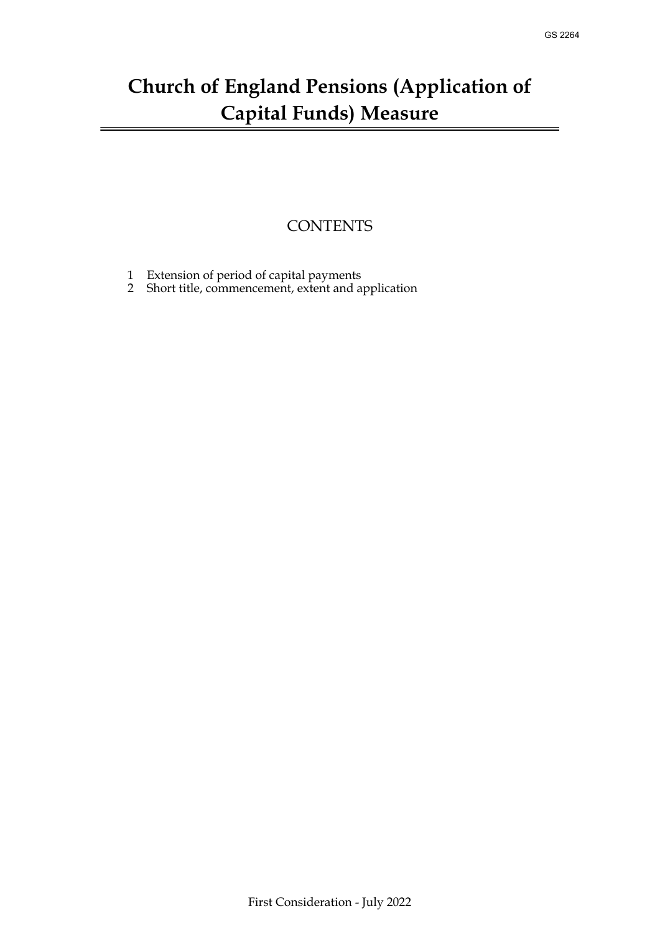## **Church of England Pensions (Application of Capital Funds) Measure**

## **CONTENTS**

- [1 Extension of period of capital payments](#page-1-0)
- 2 [Short title, commencement, extent and application](#page-1-1)